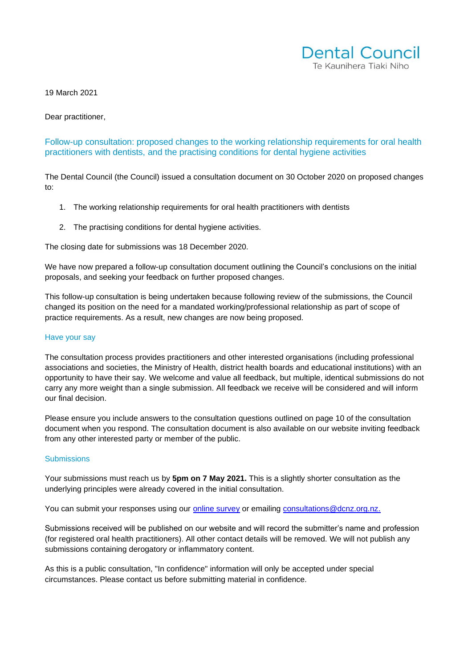

19 March 2021

Dear practitioner,

Follow-up consultation: proposed changes to the working relationship requirements for oral health practitioners with dentists, and the practising conditions for dental hygiene activities

The Dental Council (the Council) issued a consultation document on 30 October 2020 on proposed changes to:

- 1. The working relationship requirements for oral health practitioners with dentists
- 2. The practising conditions for dental hygiene activities.

The closing date for submissions was 18 December 2020.

We have now prepared a follow-up consultation document outlining the Council's conclusions on the initial proposals, and seeking your feedback on further proposed changes.

This follow-up consultation is being undertaken because following review of the submissions, the Council changed its position on the need for a mandated working/professional relationship as part of scope of practice requirements. As a result, new changes are now being proposed.

#### Have your say

The consultation process provides practitioners and other interested organisations (including professional associations and societies, the Ministry of Health, district health boards and educational institutions) with an opportunity to have their say. We welcome and value all feedback, but multiple, identical submissions do not carry any more weight than a single submission. All feedback we receive will be considered and will inform our final decision.

Please ensure you include answers to the consultation questions outlined on page 10 of the consultation document when you respond. The consultation document is also available on our website inviting feedback from any other interested party or member of the public.

#### **Submissions**

Your submissions must reach us by **5pm on 7 May 2021.** This is a slightly shorter consultation as the underlying principles were already covered in the initial consultation.

You can submit your responses using our [online survey](https://www.surveymonkey.com/r/FYFY2MG) or emailing [consultations@dcnz.org.nz.](mailto:consultations@dcnz.org.nz)

Submissions received will be published on our website and will record the submitter's name and profession (for registered oral health practitioners). All other contact details will be removed. We will not publish any submissions containing derogatory or inflammatory content.

As this is a public consultation, "In confidence" information will only be accepted under special circumstances. Please contact us before submitting material in confidence.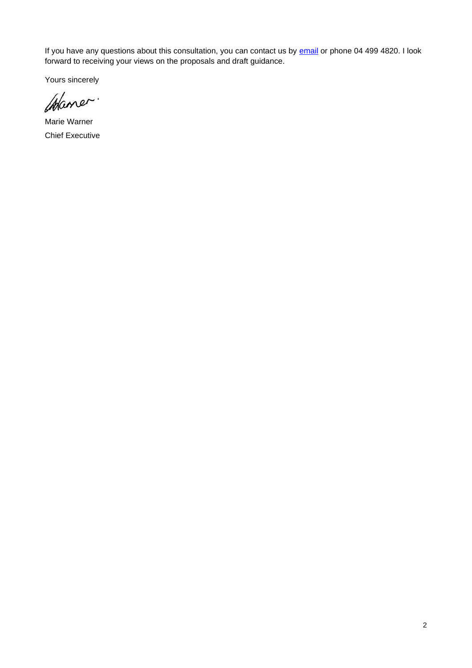If you have any questions about this consultation, you can contact us by **email** or phone 04 499 4820. I look forward to receiving your views on the proposals and draft guidance.

Yours sincerely

Atlaner.

Marie Warner Chief Executive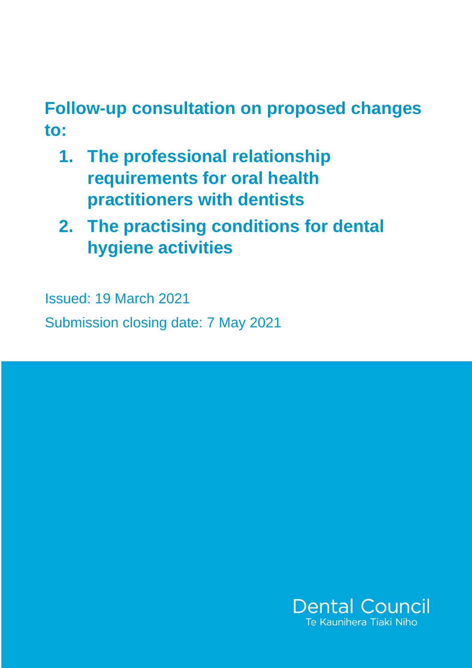# **Follow-up consultation on proposed changes to:**

- **1. The professional relationship requirements for oral health practitioners with dentists**
- **2. The practising conditions for dental hygiene activities**

Issued: 19 March 2021 Submission closing date: 7 May 2021

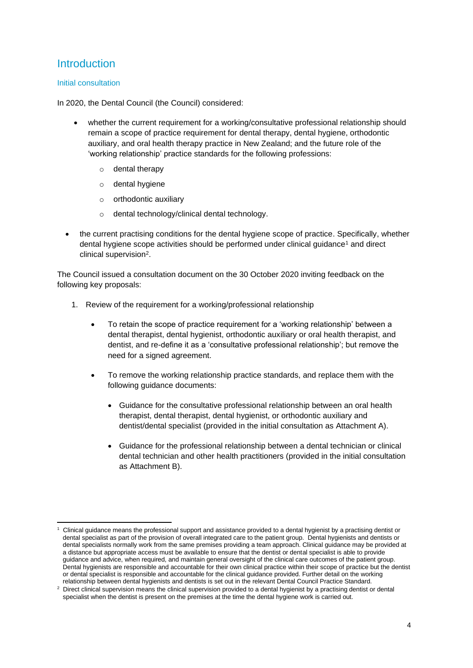# **Introduction**

### Initial consultation

In 2020, the Dental Council (the Council) considered:

- whether the current requirement for a working/consultative professional relationship should remain a scope of practice requirement for dental therapy, dental hygiene, orthodontic auxiliary, and oral health therapy practice in New Zealand; and the future role of the 'working relationship' practice standards for the following professions:
	- o dental therapy
	- o dental hygiene
	- o orthodontic auxiliary
	- o dental technology/clinical dental technology.
- the current practising conditions for the dental hygiene scope of practice. Specifically, whether dental hygiene scope activities should be performed under clinical guidance<sup>1</sup> and direct clinical supervision<sup>2</sup>.

The Council issued a consultation document on the 30 October 2020 inviting feedback on the following key proposals:

- 1. Review of the requirement for a working/professional relationship
	- To retain the scope of practice requirement for a 'working relationship' between a dental therapist, dental hygienist, orthodontic auxiliary or oral health therapist, and dentist, and re-define it as a 'consultative professional relationship'; but remove the need for a signed agreement.
	- To remove the working relationship practice standards, and replace them with the following guidance documents:
		- Guidance for the consultative professional relationship between an oral health therapist, dental therapist, dental hygienist, or orthodontic auxiliary and dentist/dental specialist (provided in the initial consultation as Attachment A).
		- Guidance for the professional relationship between a dental technician or clinical dental technician and other health practitioners (provided in the initial consultation as Attachment B).

<sup>1</sup> Clinical guidance means the professional support and assistance provided to a dental hygienist by a practising dentist or dental specialist as part of the provision of overall integrated care to the patient group. Dental hygienists and dentists or dental specialists normally work from the same premises providing a team approach. Clinical guidance may be provided at a distance but appropriate access must be available to ensure that the dentist or dental specialist is able to provide guidance and advice, when required, and maintain general oversight of the clinical care outcomes of the patient group. Dental hygienists are responsible and accountable for their own clinical practice within their scope of practice but the dentist or dental specialist is responsible and accountable for the clinical guidance provided. Further detail on the working relationship between dental hygienists and dentists is set out in the relevant Dental Council Practice Standard.

<sup>&</sup>lt;sup>2</sup> Direct clinical supervision means the clinical supervision provided to a dental hygienist by a practising dentist or dental specialist when the dentist is present on the premises at the time the dental hygiene work is carried out.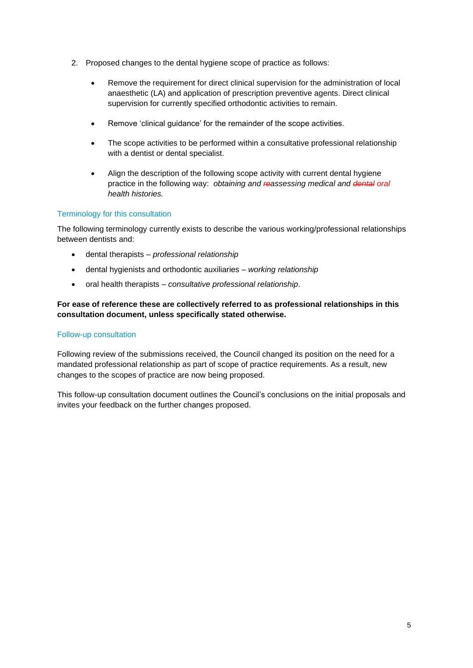- 2. Proposed changes to the dental hygiene scope of practice as follows:
	- Remove the requirement for direct clinical supervision for the administration of local anaesthetic (LA) and application of prescription preventive agents. Direct clinical supervision for currently specified orthodontic activities to remain.
	- Remove 'clinical guidance' for the remainder of the scope activities.
	- The scope activities to be performed within a consultative professional relationship with a dentist or dental specialist.
	- Align the description of the following scope activity with current dental hygiene practice in the following way: *obtaining and reassessing medical and dental oral health histories.*

### Terminology for this consultation

The following terminology currently exists to describe the various working/professional relationships between dentists and:

- dental therapists *professional relationship*
- dental hygienists and orthodontic auxiliaries *working relationship*
- oral health therapists *consultative professional relationship*.

### **For ease of reference these are collectively referred to as professional relationships in this consultation document, unless specifically stated otherwise.**

#### Follow-up consultation

Following review of the submissions received, the Council changed its position on the need for a mandated professional relationship as part of scope of practice requirements. As a result, new changes to the scopes of practice are now being proposed.

This follow-up consultation document outlines the Council's conclusions on the initial proposals and invites your feedback on the further changes proposed.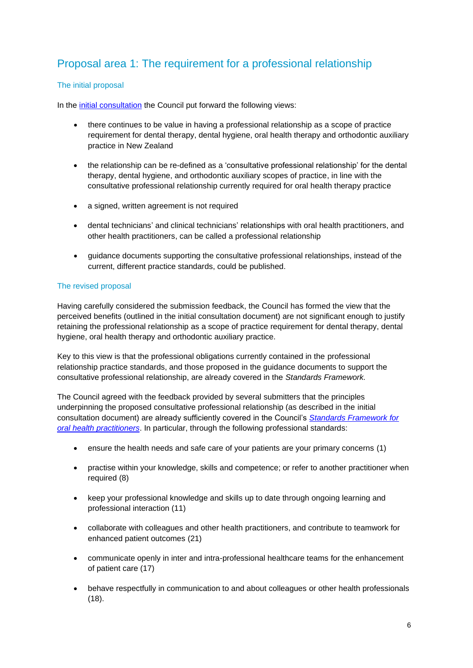# Proposal area 1: The requirement for a professional relationship

## The initial proposal

In the [initial consultation](https://dcnz.org.nz/assets/Uploads/Consultations/2020/Prof-relationships/Consultation-professional-relationshipshyg-SOP-30Oct20.pdf) the Council put forward the following views:

- there continues to be value in having a professional relationship as a scope of practice requirement for dental therapy, dental hygiene, oral health therapy and orthodontic auxiliary practice in New Zealand
- the relationship can be re-defined as a 'consultative professional relationship' for the dental therapy, dental hygiene, and orthodontic auxiliary scopes of practice, in line with the consultative professional relationship currently required for oral health therapy practice
- a signed, written agreement is not required
- dental technicians' and clinical technicians' relationships with oral health practitioners, and other health practitioners, can be called a professional relationship
- guidance documents supporting the consultative professional relationships, instead of the current, different practice standards, could be published.

## The revised proposal

Having carefully considered the submission feedback, the Council has formed the view that the perceived benefits (outlined in the initial consultation document) are not significant enough to justify retaining the professional relationship as a scope of practice requirement for dental therapy, dental hygiene, oral health therapy and orthodontic auxiliary practice.

Key to this view is that the professional obligations currently contained in the professional relationship practice standards, and those proposed in the guidance documents to support the consultative professional relationship, are already covered in the *Standards Framework.* 

The Council agreed with the feedback provided by several submitters that the principles underpinning the proposed consultative professional relationship (as described in the initial consultation document) are already sufficiently covered in the Council's *[Standards Framework for](https://www.dcnz.org.nz/i-practise-in-new-zealand/standards-framework/)  [oral health practitioners](https://www.dcnz.org.nz/i-practise-in-new-zealand/standards-framework/)*. In particular, through the following professional standards:

- ensure the health needs and safe care of your patients are your primary concerns (1)
- practise within your knowledge, skills and competence; or refer to another practitioner when required (8)
- keep your professional knowledge and skills up to date through ongoing learning and professional interaction (11)
- collaborate with colleagues and other health practitioners, and contribute to teamwork for enhanced patient outcomes (21)
- communicate openly in inter and intra-professional healthcare teams for the enhancement of patient care (17)
- behave respectfully in communication to and about colleagues or other health professionals (18).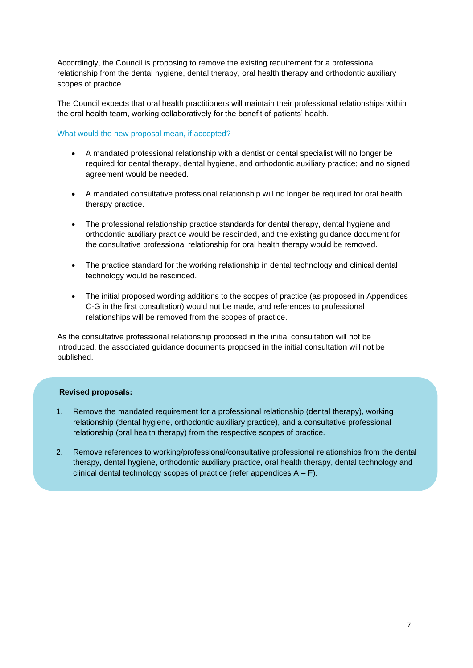Accordingly, the Council is proposing to remove the existing requirement for a professional relationship from the dental hygiene, dental therapy, oral health therapy and orthodontic auxiliary scopes of practice.

The Council expects that oral health practitioners will maintain their professional relationships within the oral health team, working collaboratively for the benefit of patients' health.

#### What would the new proposal mean, if accepted?

- A mandated professional relationship with a dentist or dental specialist will no longer be required for dental therapy, dental hygiene, and orthodontic auxiliary practice; and no signed agreement would be needed.
- A mandated consultative professional relationship will no longer be required for oral health therapy practice.
- The professional relationship practice standards for dental therapy, dental hygiene and orthodontic auxiliary practice would be rescinded, and the existing guidance document for the consultative professional relationship for oral health therapy would be removed.
- The practice standard for the working relationship in dental technology and clinical dental technology would be rescinded.
- The initial proposed wording additions to the scopes of practice (as proposed in Appendices C-G in the first consultation) would not be made, and references to professional relationships will be removed from the scopes of practice.

As the consultative professional relationship proposed in the initial consultation will not be introduced, the associated guidance documents proposed in the initial consultation will not be published.

### **Revised proposals:**

- 1. Remove the mandated requirement for a professional relationship (dental therapy), working relationship (dental hygiene, orthodontic auxiliary practice), and a consultative professional relationship (oral health therapy) from the respective scopes of practice.
- 2. Remove references to working/professional/consultative professional relationships from the dental therapy, dental hygiene, orthodontic auxiliary practice, oral health therapy, dental technology and clinical dental technology scopes of practice (refer appendices  $A - F$ ).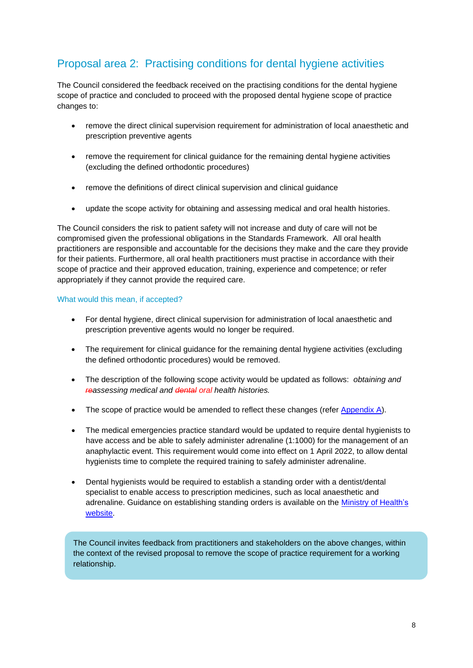# Proposal area 2: Practising conditions for dental hygiene activities

The Council considered the feedback received on the practising conditions for the dental hygiene scope of practice and concluded to proceed with the proposed dental hygiene scope of practice changes to:

- remove the direct clinical supervision requirement for administration of local anaesthetic and prescription preventive agents
- remove the requirement for clinical guidance for the remaining dental hygiene activities (excluding the defined orthodontic procedures)
- remove the definitions of direct clinical supervision and clinical guidance
- update the scope activity for obtaining and assessing medical and oral health histories.

The Council considers the risk to patient safety will not increase and duty of care will not be compromised given the professional obligations in the Standards Framework. All oral health practitioners are responsible and accountable for the decisions they make and the care they provide for their patients. Furthermore, all oral health practitioners must practise in accordance with their scope of practice and their approved education, training, experience and competence; or refer appropriately if they cannot provide the required care.

## What would this mean, if accepted?

- For dental hygiene, direct clinical supervision for administration of local anaesthetic and prescription preventive agents would no longer be required.
- The requirement for clinical guidance for the remaining dental hygiene activities (excluding the defined orthodontic procedures) would be removed.
- The description of the following scope activity would be updated as follows: *obtaining and reassessing medical and dental oral health histories.*
- The scope of practice would be amended to reflect these changes (refer [Appendix A\)](https://dcnz.org.nz/assets/Uploads/Consultations/2021/Follow-up-working-relationships/Appendix-A-draft-hygiene-scope-gazette-notice.pdf).
- The medical emergencies practice standard would be updated to require dental hygienists to have access and be able to safely administer adrenaline (1:1000) for the management of an anaphylactic event. This requirement would come into effect on 1 April 2022, to allow dental hygienists time to complete the required training to safely administer adrenaline.
- Dental hygienists would be required to establish a standing order with a dentist/dental specialist to enable access to prescription medicines, such as local anaesthetic and adrenaline. Guidance on establishing standing orders is available on the [Ministry of Health's](https://www.health.govt.nz/system/files/documents/publications/standing-order-guidelines-aug16-v2.pdf)  [website.](https://www.health.govt.nz/system/files/documents/publications/standing-order-guidelines-aug16-v2.pdf)

The Council invites feedback from practitioners and stakeholders on the above changes, within the context of the revised proposal to remove the scope of practice requirement for a working relationship.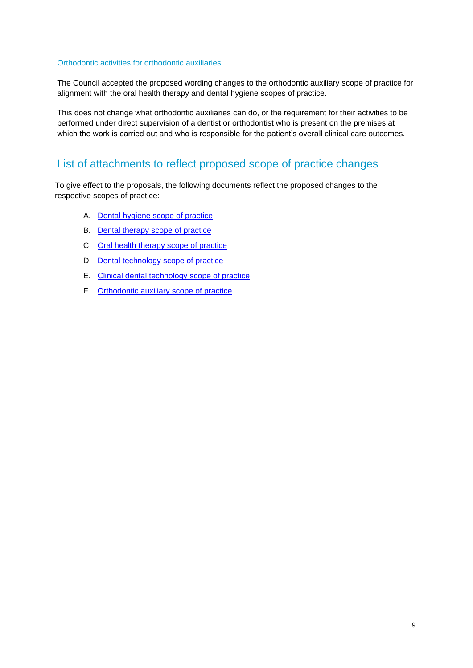#### Orthodontic activities for orthodontic auxiliaries

The Council accepted the proposed wording changes to the orthodontic auxiliary scope of practice for alignment with the oral health therapy and dental hygiene scopes of practice.

This does not change what orthodontic auxiliaries can do, or the requirement for their activities to be performed under direct supervision of a dentist or orthodontist who is present on the premises at which the work is carried out and who is responsible for the patient's overall clinical care outcomes.

# List of attachments to reflect proposed scope of practice changes

To give effect to the proposals, the following documents reflect the proposed changes to the respective scopes of practice:

- A. [Dental hygiene scope of practice](https://dcnz.org.nz/assets/Uploads/Consultations/2021/Follow-up-working-relationships/Appendix-A-draft-hygiene-scope-gazette-notice.pdf)
- B. Dental therapy [scope of practice](https://dcnz.org.nz/assets/Uploads/Consultations/2021/Follow-up-working-relationships/Appendix-B-draft-therapy-scope-gazette-notice.pdf)
- C. [Oral health therapy scope of practice](https://dcnz.org.nz/assets/Uploads/Consultations/2021/Follow-up-working-relationships/Appendix-C-draft-OHT-scope-gazette-notice.pdf)
- D. [Dental technology](https://dcnz.org.nz/assets/Uploads/Consultations/2021/Follow-up-working-relationships/Appendix-D-draft-dental-technology-scope-gazette-notice.pdf) scope of practice
- E. [Clinical dental technology](https://dcnz.org.nz/assets/Uploads/Consultations/2021/Follow-up-working-relationships/Appendix-E-draft-CDT-scope-gazette-notice.pdf) scope of practice
- F. [Orthodontic auxiliary scope of practice.](https://dcnz.org.nz/assets/Uploads/Consultations/2021/Follow-up-working-relationships/Appendix-F-draft-OA-scope-gazette-notice.pdf)